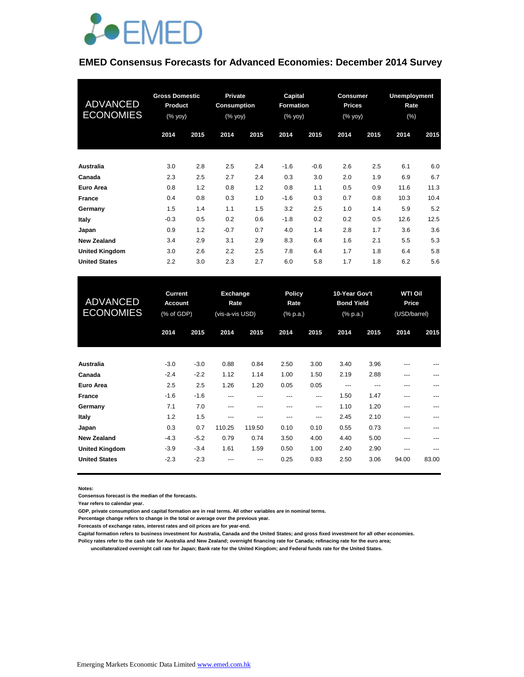

#### **EMED Consensus Forecasts for Advanced Economies: December 2014 Survey**

| <b>ADVANCED</b><br><b>ECONOMIES</b> | <b>Gross Domestic</b><br>Product<br>(% yoy) |      | Private<br><b>Consumption</b><br>$(%$ yoy $)$ |      | <b>Capital</b><br><b>Formation</b><br>(% yoy) |        | <b>Consumer</b><br><b>Prices</b><br>(% yoy) |      | <b>Unemployment</b><br>Rate<br>$(\% )$ |      |
|-------------------------------------|---------------------------------------------|------|-----------------------------------------------|------|-----------------------------------------------|--------|---------------------------------------------|------|----------------------------------------|------|
|                                     | 2014                                        | 2015 | 2014                                          | 2015 | 2014                                          | 2015   | 2014                                        | 2015 | 2014                                   | 2015 |
| Australia                           | 3.0                                         | 2.8  | 2.5                                           | 2.4  | $-1.6$                                        | $-0.6$ | 2.6                                         | 2.5  | 6.1                                    | 6.0  |
| Canada                              | 2.3                                         | 2.5  | 2.7                                           | 2.4  | 0.3                                           | 3.0    | 2.0                                         | 1.9  | 6.9                                    | 6.7  |
| Euro Area                           | 0.8                                         | 1.2  | 0.8                                           | 1.2  | 0.8                                           | 1.1    | 0.5                                         | 0.9  | 11.6                                   | 11.3 |
| <b>France</b>                       | 0.4                                         | 0.8  | 0.3                                           | 1.0  | $-1.6$                                        | 0.3    | 0.7                                         | 0.8  | 10.3                                   | 10.4 |
| Germany                             | 1.5                                         | 1.4  | 1.1                                           | 1.5  | 3.2                                           | 2.5    | 1.0                                         | 1.4  | 5.9                                    | 5.2  |
| <b>Italy</b>                        | $-0.3$                                      | 0.5  | 0.2                                           | 0.6  | $-1.8$                                        | 0.2    | 0.2                                         | 0.5  | 12.6                                   | 12.5 |
| Japan                               | 0.9                                         | 1.2  | $-0.7$                                        | 0.7  | 4.0                                           | 1.4    | 2.8                                         | 1.7  | 3.6                                    | 3.6  |
| <b>New Zealand</b>                  | 3.4                                         | 2.9  | 3.1                                           | 2.9  | 8.3                                           | 6.4    | 1.6                                         | 2.1  | 5.5                                    | 5.3  |
| <b>United Kingdom</b>               | 3.0                                         | 2.6  | 2.2                                           | 2.5  | 7.8                                           | 6.4    | 1.7                                         | 1.8  | 6.4                                    | 5.8  |
| <b>United States</b>                | 2.2                                         | 3.0  | 2.3                                           | 2.7  | 6.0                                           | 5.8    | 1.7                                         | 1.8  | 6.2                                    | 5.6  |

| <b>ADVANCED</b><br><b>ECONOMIES</b> | <b>Current</b><br><b>Account</b><br>(% of GDP) |        | Exchange<br>Rate<br>(vis-a-vis USD) |        | <b>Policy</b><br>Rate<br>(% p.a.) |      | 10-Year Gov't<br><b>Bond Yield</b><br>(% p.a.) |      | <b>WTI Oil</b><br>Price<br>(USD/barrel) |       |
|-------------------------------------|------------------------------------------------|--------|-------------------------------------|--------|-----------------------------------|------|------------------------------------------------|------|-----------------------------------------|-------|
|                                     | 2014                                           | 2015   | 2014                                | 2015   | 2014                              | 2015 | 2014                                           | 2015 | 2014                                    | 2015  |
| <b>Australia</b>                    | $-3.0$                                         | $-3.0$ | 0.88                                | 0.84   | 2.50                              | 3.00 | 3.40                                           | 3.96 | ---                                     | ---   |
| Canada                              | $-2.4$                                         | $-2.2$ | 1.12                                | 1.14   | 1.00                              | 1.50 | 2.19                                           | 2.88 | ---                                     | $---$ |
| Euro Area                           | 2.5                                            | 2.5    | 1.26                                | 1.20   | 0.05                              | 0.05 | ---                                            | ---  | ---                                     | ---   |
| France                              | $-1.6$                                         | $-1.6$ | ---                                 | ---    | ---                               | ---  | 1.50                                           | 1.47 | ---                                     |       |
| Germany                             | 7.1                                            | 7.0    | ---                                 | ---    | ---                               | ---  | 1.10                                           | 1.20 | ---                                     | ---   |
| Italy                               | 1.2                                            | 1.5    | ---                                 | ---    | $---$                             | ---  | 2.45                                           | 2.10 | ---                                     | ---   |
| Japan                               | 0.3                                            | 0.7    | 110.25                              | 119.50 | 0.10                              | 0.10 | 0.55                                           | 0.73 | ---                                     |       |
| <b>New Zealand</b>                  | $-4.3$                                         | $-5.2$ | 0.79                                | 0.74   | 3.50                              | 4.00 | 4.40                                           | 5.00 | ---                                     | ---   |
| <b>United Kingdom</b>               | $-3.9$                                         | $-3.4$ | 1.61                                | 1.59   | 0.50                              | 1.00 | 2.40                                           | 2.90 | $---$                                   | ---   |
| <b>United States</b>                | $-2.3$                                         | $-2.3$ |                                     | ---    | 0.25                              | 0.83 | 2.50                                           | 3.06 | 94.00                                   | 83.00 |

**Notes:** 

**Consensus forecast is the median of the forecasts.**

**Year refers to calendar year.**

**GDP, private consumption and capital formation are in real terms. All other variables are in nominal terms.**

**Percentage change refers to change in the total or average over the previous year.**

**Forecasts of exchange rates, interest rates and oil prices are for year-end.**

**Capital formation refers to business investment for Australia, Canada and the United States; and gross fixed investment for all other economies.**

**Policy rates refer to the cash rate for Australia and New Zealand; overnight financing rate for Canada; refinacing rate for the euro area;** 

 **uncollateralized overnight call rate for Japan; Bank rate for the United Kingdom; and Federal funds rate for the United States.**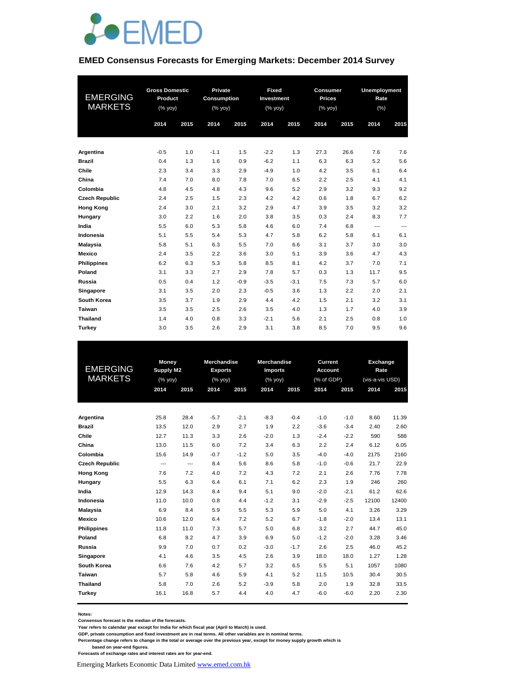

#### **EMED Consensus Forecasts for Emerging Markets: December 2014 Survey**

| <b>EMERGING</b><br><b>MARKETS</b> | <b>Gross Domestic</b><br>Product<br>(% |      |        |        | Private<br>Consumption<br>$(%$ yoy) |        | Fixed<br>Investment<br>(% yoy)<br>2014<br>2015 |      | <b>Consumer</b><br>Prices<br>$(%$ yoy) |      | <b>Unemployment</b><br>Rate<br>$(\%)$<br>2014 |  |
|-----------------------------------|----------------------------------------|------|--------|--------|-------------------------------------|--------|------------------------------------------------|------|----------------------------------------|------|-----------------------------------------------|--|
|                                   | 2014                                   | 2015 | 2014   | 2015   |                                     |        | 2014                                           | 2015 |                                        | 2015 |                                               |  |
|                                   |                                        |      |        |        |                                     |        |                                                |      |                                        |      |                                               |  |
| Argentina                         | $-0.5$                                 | 1.0  | $-1.1$ | 1.5    | $-2.2$                              | 1.3    | 27.3                                           | 26.6 | 7.6                                    | 7.6  |                                               |  |
| <b>Brazil</b>                     | 0.4                                    | 1.3  | 1.6    | 0.9    | $-6.2$                              | 1.1    | 6.3                                            | 6.3  | 5.2                                    | 5.6  |                                               |  |
| Chile                             | 2.3                                    | 3.4  | 3.3    | 2.9    | $-4.9$                              | 1.0    | 4.2                                            | 3.5  | 6.1                                    | 6.4  |                                               |  |
| China                             | 7.4                                    | 7.0  | 8.0    | 7.8    | 7.0                                 | 6.5    | 2.2                                            | 2.5  | 4.1                                    | 4.1  |                                               |  |
| Colombia                          | 4.8                                    | 4.5  | 4.8    | 4.3    | 9.6                                 | 5.2    | 2.9                                            | 3.2  | 9.3                                    | 9.2  |                                               |  |
| <b>Czech Republic</b>             | 2.4                                    | 2.5  | 1.5    | 2.3    | 4.2                                 | 4.2    | 0.6                                            | 1.8  | 6.7                                    | 6.2  |                                               |  |
| <b>Hong Kong</b>                  | 2.4                                    | 3.0  | 2.1    | 3.2    | 2.9                                 | 4.7    | 3.9                                            | 3.5  | 3.2                                    | 3.2  |                                               |  |
| Hungary                           | 3.0                                    | 2.2  | 1.6    | 2.0    | 3.8                                 | 3.5    | 0.3                                            | 2.4  | 8.3                                    | 7.7  |                                               |  |
| India                             | 5.5                                    | 6.0  | 5.3    | 5.8    | 4.6                                 | 6.0    | 7.4                                            | 6.8  | ---                                    | ---  |                                               |  |
| Indonesia                         | 5.1                                    | 5.5  | 5.4    | 5.3    | 4.7                                 | 5.8    | 6.2                                            | 5.8  | 6.1                                    | 6.1  |                                               |  |
| <b>Malaysia</b>                   | 5.8                                    | 5.1  | 6.3    | 5.5    | 7.0                                 | 6.6    | 3.1                                            | 3.7  | 3.0                                    | 3.0  |                                               |  |
| <b>Mexico</b>                     | 2.4                                    | 3.5  | 2.2    | 3.6    | 3.0                                 | 5.1    | 3.9                                            | 3.6  | 4.7                                    | 4.3  |                                               |  |
| <b>Philippines</b>                | 6.2                                    | 6.3  | 5.3    | 5.8    | 8.5                                 | 8.1    | 4.2                                            | 3.7  | 7.0                                    | 7.1  |                                               |  |
| Poland                            | 3.1                                    | 3.3  | 2.7    | 2.9    | 7.8                                 | 5.7    | 0.3                                            | 1.3  | 11.7                                   | 9.5  |                                               |  |
| Russia                            | 0.5                                    | 0.4  | 1.2    | $-0.9$ | $-3.5$                              | $-3.1$ | 7.5                                            | 7.3  | 5.7                                    | 6.0  |                                               |  |
| Singapore                         | 3.1                                    | 3.5  | 2.0    | 2.3    | $-0.5$                              | 3.6    | 1.3                                            | 2.2  | 2.0                                    | 2.1  |                                               |  |
| South Korea                       | 3.5                                    | 3.7  | 1.9    | 2.9    | 4.4                                 | 4.2    | 1.5                                            | 2.1  | 3.2                                    | 3.1  |                                               |  |
| <b>Taiwan</b>                     | 3.5                                    | 3.5  | 2.5    | 2.6    | 3.5                                 | 4.0    | 1.3                                            | 1.7  | 4.0                                    | 3.9  |                                               |  |
| <b>Thailand</b>                   | 1.4                                    | 4.0  | 0.8    | 3.3    | $-2.1$                              | 5.6    | 2.1                                            | 2.5  | 0.8                                    | 1.0  |                                               |  |
| Turkey                            | 3.0                                    | 3.5  | 2.6    | 2.9    | 3.1                                 | 3.8    | 8.5                                            | 7.0  | 9.5                                    | 9.6  |                                               |  |

| <b>EMERGING</b><br><b>MARKETS</b> |       | <b>Money</b><br>Supply M2<br>(% yoy) |        | <b>Merchandise</b><br><b>Exports</b><br>(% yoy) | <b>Merchandise</b><br><b>Imports</b><br>(% yoy) |        | <b>Current</b><br><b>Account</b><br>$(% \mathbf{A})$ (% of GDP) |        | Exchange<br>Rate<br>(vis-a-vis USD) |       |  |
|-----------------------------------|-------|--------------------------------------|--------|-------------------------------------------------|-------------------------------------------------|--------|-----------------------------------------------------------------|--------|-------------------------------------|-------|--|
|                                   | 2014  | 2015                                 | 2014   | 2015                                            | 2014                                            | 2015   | 2014                                                            | 2015   | 2014                                | 2015  |  |
|                                   |       |                                      |        |                                                 |                                                 |        |                                                                 |        |                                     |       |  |
| Argentina                         | 25.8  | 28.4                                 | $-5.7$ | $-2.1$                                          | $-8.3$                                          | $-0.4$ | $-1.0$                                                          | $-1.0$ | 8.60                                | 11.39 |  |
| <b>Brazil</b>                     | 13.5  | 12.0                                 | 2.9    | 2.7                                             | 1.9                                             | 2.2    | $-3.6$                                                          | $-3.4$ | 2.40                                | 2.60  |  |
| Chile                             | 12.7  | 11.3                                 | 3.3    | 2.6                                             | $-2.0$                                          | 1.3    | $-2.4$                                                          | $-2.2$ | 590                                 | 588   |  |
| China                             | 13.0  | 11.5                                 | 6.0    | 7.2                                             | 3.4                                             | 6.3    | 2.2                                                             | 2.4    | 6.12                                | 6.05  |  |
| Colombia                          | 15.6  | 14.9                                 | $-0.7$ | $-1.2$                                          | 5.0                                             | 3.5    | $-4.0$                                                          | $-4.0$ | 2175                                | 2160  |  |
| <b>Czech Republic</b>             | $---$ | ---                                  | 8.4    | 5.6                                             | 8.6                                             | 5.8    | $-1.0$                                                          | $-0.6$ | 21.7                                | 22.9  |  |
| <b>Hong Kong</b>                  | 7.6   | 7.2                                  | 4.0    | 7.2                                             | 4.3                                             | 7.2    | 2.1                                                             | 2.6    | 7.76                                | 7.78  |  |
| Hungary                           | 5.5   | 6.3                                  | 6.4    | 6.1                                             | 7.1                                             | 6.2    | 2.3                                                             | 1.9    | 246                                 | 260   |  |
| India                             | 12.9  | 14.3                                 | 8.4    | 9.4                                             | 5.1                                             | 9.0    | $-2.0$                                                          | $-2.1$ | 61.2                                | 62.6  |  |
| Indonesia                         | 11.0  | 10.0                                 | 0.8    | 4.4                                             | $-1.2$                                          | 3.1    | $-2.9$                                                          | $-2.5$ | 12100                               | 12400 |  |
| <b>Malaysia</b>                   | 6.9   | 8.4                                  | 5.9    | 5.5                                             | 5.3                                             | 5.9    | 5.0                                                             | 4.1    | 3.26                                | 3.29  |  |
| <b>Mexico</b>                     | 10.6  | 12.0                                 | 6.4    | 7.2                                             | 5.2                                             | 6.7    | $-1.8$                                                          | $-2.0$ | 13.4                                | 13.1  |  |
| <b>Philippines</b>                | 11.8  | 11.0                                 | 7.3    | 5.7                                             | 5.0                                             | 6.8    | 3.2                                                             | 2.7    | 44.7                                | 45.0  |  |
| Poland                            | 6.8   | 8.2                                  | 4.7    | 3.9                                             | 6.9                                             | 5.0    | $-1.2$                                                          | $-2.0$ | 3.28                                | 3.46  |  |
| Russia                            | 9.9   | 7.0                                  | 0.7    | 0.2                                             | $-3.0$                                          | $-1.7$ | 2.6                                                             | 2.5    | 46.0                                | 45.2  |  |
| Singapore                         | 4.1   | 4.6                                  | 3.5    | 4.5                                             | 2.6                                             | 3.9    | 18.0                                                            | 18.0   | 1.27                                | 1.28  |  |
| South Korea                       | 6.6   | 7.6                                  | 4.2    | 5.7                                             | 3.2                                             | 6.5    | 5.5                                                             | 5.1    | 1057                                | 1080  |  |
| <b>Taiwan</b>                     | 5.7   | 5.8                                  | 4.6    | 5.9                                             | 4.1                                             | 5.2    | 11.5                                                            | 10.5   | 30.4                                | 30.5  |  |
| <b>Thailand</b>                   | 5.8   | 7.0                                  | 2.6    | 5.2                                             | $-3.9$                                          | 5.8    | 2.0                                                             | 1.9    | 32.8                                | 33.5  |  |
| <b>Turkey</b>                     | 16.1  | 16.8                                 | 5.7    | 4.4                                             | 4.0                                             | 4.7    | $-6.0$                                                          | $-6.0$ | 2.20                                | 2.30  |  |

**Notes:** 

**Consensus forecast is the median of the forecasts.**

**Year refers to calendar year except for India for which fiscal year (April to March) is used.**

**GDP, private consumption and fixed investment are in real terms. All other variables are in nominal terms.**

**Percentage change refers to change in the total or average over the previous year, except for money supply growth which is** 

 **based on year-end figures. Forecasts of exchange rates and interest rates are for year-end.**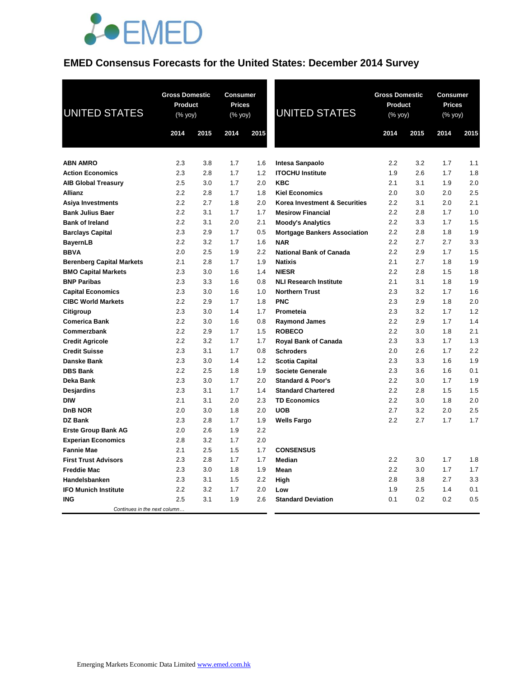

### **EMED Consensus Forecasts for the United States: December 2014 Survey**

| <b>UNITED STATES</b>             | <b>Gross Domestic</b><br>Product<br>(% yoy) |      | <b>Consumer</b><br><b>Prices</b><br>(% yoy) |      | <b>UNITED STATES</b>                | <b>Gross Domestic</b><br>Product<br>(% yoy) |      | <b>Consumer</b><br><b>Prices</b><br>(% yoy) |      |
|----------------------------------|---------------------------------------------|------|---------------------------------------------|------|-------------------------------------|---------------------------------------------|------|---------------------------------------------|------|
|                                  | 2014                                        | 2015 | 2014                                        | 2015 |                                     | 2014                                        | 2015 | 2014                                        | 2015 |
|                                  |                                             |      |                                             |      |                                     |                                             |      |                                             |      |
| <b>ABN AMRO</b>                  | 2.3                                         | 3.8  | 1.7                                         | 1.6  | Intesa Sanpaolo                     | 2.2                                         | 3.2  | 1.7                                         | 1.1  |
| <b>Action Economics</b>          | 2.3                                         | 2.8  | 1.7                                         | 1.2  | <b>ITOCHU Institute</b>             | 1.9                                         | 2.6  | 1.7                                         | 1.8  |
| <b>AIB Global Treasury</b>       | 2.5                                         | 3.0  | 1.7                                         | 2.0  | <b>KBC</b>                          | 2.1                                         | 3.1  | 1.9                                         | 2.0  |
| <b>Allianz</b>                   | 2.2                                         | 2.8  | 1.7                                         | 1.8  | <b>Kiel Economics</b>               | 2.0                                         | 3.0  | 2.0                                         | 2.5  |
| <b>Asiya Investments</b>         | 2.2                                         | 2.7  | 1.8                                         | 2.0  | Korea Investment & Securities       | 2.2                                         | 3.1  | 2.0                                         | 2.1  |
| <b>Bank Julius Baer</b>          | 2.2                                         | 3.1  | 1.7                                         | 1.7  | <b>Mesirow Financial</b>            | 2.2                                         | 2.8  | 1.7                                         | 1.0  |
| <b>Bank of Ireland</b>           | 2.2                                         | 3.1  | 2.0                                         | 2.1  | <b>Moody's Analytics</b>            | 2.2                                         | 3.3  | 1.7                                         | 1.5  |
| <b>Barclays Capital</b>          | 2.3                                         | 2.9  | 1.7                                         | 0.5  | <b>Mortgage Bankers Association</b> | 2.2                                         | 2.8  | 1.8                                         | 1.9  |
| <b>BayernLB</b>                  | 2.2                                         | 3.2  | 1.7                                         | 1.6  | <b>NAR</b>                          | 2.2                                         | 2.7  | 2.7                                         | 3.3  |
| <b>BBVA</b>                      | 2.0                                         | 2.5  | 1.9                                         | 2.2  | <b>National Bank of Canada</b>      | 2.2                                         | 2.9  | 1.7                                         | 1.5  |
| <b>Berenberg Capital Markets</b> | 2.1                                         | 2.8  | 1.7                                         | 1.9  | <b>Natixis</b>                      | 2.1                                         | 2.7  | 1.8                                         | 1.9  |
| <b>BMO Capital Markets</b>       | 2.3                                         | 3.0  | 1.6                                         | 1.4  | <b>NIESR</b>                        | 2.2                                         | 2.8  | 1.5                                         | 1.8  |
| <b>BNP Paribas</b>               | 2.3                                         | 3.3  | 1.6                                         | 0.8  | <b>NLI Research Institute</b>       | 2.1                                         | 3.1  | 1.8                                         | 1.9  |
| <b>Capital Economics</b>         | 2.3                                         | 3.0  | 1.6                                         | 1.0  | <b>Northern Trust</b>               | 2.3                                         | 3.2  | 1.7                                         | 1.6  |
| <b>CIBC World Markets</b>        | 2.2                                         | 2.9  | 1.7                                         | 1.8  | <b>PNC</b>                          | 2.3                                         | 2.9  | 1.8                                         | 2.0  |
| Citigroup                        | 2.3                                         | 3.0  | 1.4                                         | 1.7  | Prometeia                           | 2.3                                         | 3.2  | 1.7                                         | 1.2  |
| <b>Comerica Bank</b>             | 2.2                                         | 3.0  | 1.6                                         | 0.8  | <b>Raymond James</b>                | 2.2                                         | 2.9  | 1.7                                         | 1.4  |
| Commerzbank                      | 2.2                                         | 2.9  | 1.7                                         | 1.5  | <b>ROBECO</b>                       | 2.2                                         | 3.0  | 1.8                                         | 2.1  |
| <b>Credit Agricole</b>           | 2.2                                         | 3.2  | 1.7                                         | 1.7  | <b>Royal Bank of Canada</b>         | 2.3                                         | 3.3  | 1.7                                         | 1.3  |
| <b>Credit Suisse</b>             | 2.3                                         | 3.1  | 1.7                                         | 0.8  | <b>Schroders</b>                    | 2.0                                         | 2.6  | 1.7                                         | 2.2  |
| Danske Bank                      | 2.3                                         | 3.0  | 1.4                                         | 1.2  | <b>Scotia Capital</b>               | 2.3                                         | 3.3  | 1.6                                         | 1.9  |
| <b>DBS Bank</b>                  | 2.2                                         | 2.5  | 1.8                                         | 1.9  | <b>Societe Generale</b>             | 2.3                                         | 3.6  | 1.6                                         | 0.1  |
| Deka Bank                        | 2.3                                         | 3.0  | 1.7                                         | 2.0  | <b>Standard &amp; Poor's</b>        | 2.2                                         | 3.0  | 1.7                                         | 1.9  |
| Desjardins                       | 2.3                                         | 3.1  | 1.7                                         | 1.4  | <b>Standard Chartered</b>           | 2.2                                         | 2.8  | 1.5                                         | 1.5  |
| <b>DIW</b>                       | 2.1                                         | 3.1  | 2.0                                         | 2.3  | <b>TD Economics</b>                 | 2.2                                         | 3.0  | 1.8                                         | 2.0  |
| D <sub>n</sub> B NOR             | 2.0                                         | 3.0  | 1.8                                         | 2.0  | <b>UOB</b>                          | 2.7                                         | 3.2  | 2.0                                         | 2.5  |
| DZ Bank                          | 2.3                                         | 2.8  | 1.7                                         | 1.9  | <b>Wells Fargo</b>                  | 2.2                                         | 2.7  | 1.7                                         | 1.7  |
| <b>Erste Group Bank AG</b>       | 2.0                                         | 2.6  | 1.9                                         | 2.2  |                                     |                                             |      |                                             |      |
| <b>Experian Economics</b>        | 2.8                                         | 3.2  | 1.7                                         | 2.0  |                                     |                                             |      |                                             |      |
| <b>Fannie Mae</b>                | 2.1                                         | 2.5  | 1.5                                         | 1.7  | <b>CONSENSUS</b>                    |                                             |      |                                             |      |
| <b>First Trust Advisors</b>      | 2.3                                         | 2.8  | 1.7                                         | 1.7  | <b>Median</b>                       | 2.2                                         | 3.0  | 1.7                                         | 1.8  |
| <b>Freddie Mac</b>               | 2.3                                         | 3.0  | 1.8                                         | 1.9  | Mean                                | 2.2                                         | 3.0  | 1.7                                         | 1.7  |
| Handelsbanken                    | 2.3                                         | 3.1  | 1.5                                         | 2.2  | High                                | 2.8                                         | 3.8  | 2.7                                         | 3.3  |
| <b>IFO Munich Institute</b>      | 2.2                                         | 3.2  | 1.7                                         | 2.0  | Low                                 | 1.9                                         | 2.5  | 1.4                                         | 0.1  |
| <b>ING</b>                       | 2.5                                         | 3.1  | 1.9                                         | 2.6  | <b>Standard Deviation</b>           | 0.1                                         | 0.2  | 0.2                                         | 0.5  |
| Continues in the next column     |                                             |      |                                             |      |                                     |                                             |      |                                             |      |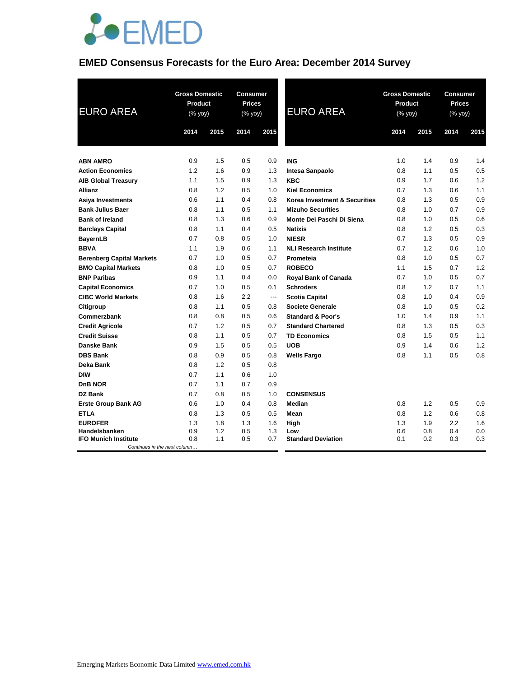

#### **EMED Consensus Forecasts for the Euro Area: December 2014 Survey**

| <b>EURO AREA</b>                                            | (% yoy) | <b>Gross Domestic</b><br><b>Consumer</b><br>Product<br><b>Prices</b><br>(% yoy) |      | <b>EURO AREA</b>         | <b>Gross Domestic</b><br>Product<br>(% yoy) |      | <b>Consumer</b><br><b>Prices</b><br>(% yoy) |      |      |
|-------------------------------------------------------------|---------|---------------------------------------------------------------------------------|------|--------------------------|---------------------------------------------|------|---------------------------------------------|------|------|
|                                                             | 2014    | 2015                                                                            | 2014 | 2015                     |                                             | 2014 | 2015                                        | 2014 | 2015 |
| <b>ABN AMRO</b>                                             | 0.9     | 1.5                                                                             | 0.5  | 0.9                      | <b>ING</b>                                  | 1.0  | 1.4                                         | 0.9  | 1.4  |
| <b>Action Economics</b>                                     | 1.2     | 1.6                                                                             | 0.9  | 1.3                      | Intesa Sanpaolo                             | 0.8  | 1.1                                         | 0.5  | 0.5  |
| <b>AIB Global Treasury</b>                                  | 1.1     | 1.5                                                                             | 0.9  | 1.3                      | <b>KBC</b>                                  | 0.9  | 1.7                                         | 0.6  | 1.2  |
| <b>Allianz</b>                                              | 0.8     | 1.2                                                                             | 0.5  | 1.0                      | <b>Kiel Economics</b>                       | 0.7  | 1.3                                         | 0.6  | 1.1  |
| <b>Asiya Investments</b>                                    | 0.6     | 1.1                                                                             | 0.4  | 0.8                      | <b>Korea Investment &amp; Securities</b>    | 0.8  | 1.3                                         | 0.5  | 0.9  |
| <b>Bank Julius Baer</b>                                     | 0.8     | 1.1                                                                             | 0.5  | 1.1                      | <b>Mizuho Securities</b>                    | 0.8  | 1.0                                         | 0.7  | 0.9  |
| <b>Bank of Ireland</b>                                      | 0.8     | 1.3                                                                             | 0.6  | 0.9                      | Monte Dei Paschi Di Siena                   | 0.8  | 1.0                                         | 0.5  | 0.6  |
| <b>Barclays Capital</b>                                     | 0.8     | 1.1                                                                             | 0.4  | 0.5                      | <b>Natixis</b>                              | 0.8  | 1.2                                         | 0.5  | 0.3  |
| <b>BayernLB</b>                                             | 0.7     | 0.8                                                                             | 0.5  | 1.0                      | <b>NIESR</b>                                | 0.7  | 1.3                                         | 0.5  | 0.9  |
| <b>BBVA</b>                                                 | 1.1     | 1.9                                                                             | 0.6  | 1.1                      | <b>NLI Research Institute</b>               | 0.7  | 1.2                                         | 0.6  | 1.0  |
| <b>Berenberg Capital Markets</b>                            | 0.7     | 1.0                                                                             | 0.5  | 0.7                      | Prometeia                                   | 0.8  | 1.0                                         | 0.5  | 0.7  |
| <b>BMO Capital Markets</b>                                  | 0.8     | 1.0                                                                             | 0.5  | 0.7                      | <b>ROBECO</b>                               | 1.1  | 1.5                                         | 0.7  | 1.2  |
| <b>BNP Paribas</b>                                          | 0.9     | 1.1                                                                             | 0.4  | 0.0                      | <b>Royal Bank of Canada</b>                 | 0.7  | 1.0                                         | 0.5  | 0.7  |
| <b>Capital Economics</b>                                    | 0.7     | 1.0                                                                             | 0.5  | 0.1                      | <b>Schroders</b>                            | 0.8  | 1.2                                         | 0.7  | 1.1  |
| <b>CIBC World Markets</b>                                   | 0.8     | 1.6                                                                             | 2.2  | $\overline{\phantom{a}}$ | <b>Scotia Capital</b>                       | 0.8  | 1.0                                         | 0.4  | 0.9  |
| Citigroup                                                   | 0.8     | 1.1                                                                             | 0.5  | 0.8                      | <b>Societe Generale</b>                     | 0.8  | 1.0                                         | 0.5  | 0.2  |
| Commerzbank                                                 | 0.8     | 0.8                                                                             | 0.5  | 0.6                      | <b>Standard &amp; Poor's</b>                | 1.0  | 1.4                                         | 0.9  | 1.1  |
| <b>Credit Agricole</b>                                      | 0.7     | 1.2                                                                             | 0.5  | 0.7                      | <b>Standard Chartered</b>                   | 0.8  | 1.3                                         | 0.5  | 0.3  |
| <b>Credit Suisse</b>                                        | 0.8     | 1.1                                                                             | 0.5  | 0.7                      | <b>TD Economics</b>                         | 0.8  | 1.5                                         | 0.5  | 1.1  |
| <b>Danske Bank</b>                                          | 0.9     | 1.5                                                                             | 0.5  | 0.5                      | <b>UOB</b>                                  | 0.9  | 1.4                                         | 0.6  | 1.2  |
| <b>DBS Bank</b>                                             | 0.8     | 0.9                                                                             | 0.5  | 0.8                      | <b>Wells Fargo</b>                          | 0.8  | 1.1                                         | 0.5  | 0.8  |
| Deka Bank                                                   | 0.8     | 1.2                                                                             | 0.5  | 0.8                      |                                             |      |                                             |      |      |
| <b>DIW</b>                                                  | 0.7     | 1.1                                                                             | 0.6  | 1.0                      |                                             |      |                                             |      |      |
| <b>DnB NOR</b>                                              | 0.7     | 1.1                                                                             | 0.7  | 0.9                      |                                             |      |                                             |      |      |
| DZ Bank                                                     | 0.7     | 0.8                                                                             | 0.5  | 1.0                      | <b>CONSENSUS</b>                            |      |                                             |      |      |
| <b>Erste Group Bank AG</b>                                  | 0.6     | 1.0                                                                             | 0.4  | 0.8                      | <b>Median</b>                               | 0.8  | 1.2                                         | 0.5  | 0.9  |
| <b>ETLA</b>                                                 | 0.8     | 1.3                                                                             | 0.5  | 0.5                      | Mean                                        | 0.8  | 1.2                                         | 0.6  | 0.8  |
| <b>EUROFER</b>                                              | 1.3     | 1.8                                                                             | 1.3  | 1.6                      | High                                        | 1.3  | 1.9                                         | 2.2  | 1.6  |
| Handelsbanken                                               | 0.9     | 1.2                                                                             | 0.5  | 1.3                      | Low                                         | 0.6  | 0.8                                         | 0.4  | 0.0  |
| <b>IFO Munich Institute</b><br>Continues in the next column | 0.8     | 1.1                                                                             | 0.5  | 0.7                      | <b>Standard Deviation</b>                   | 0.1  | 0.2                                         | 0.3  | 0.3  |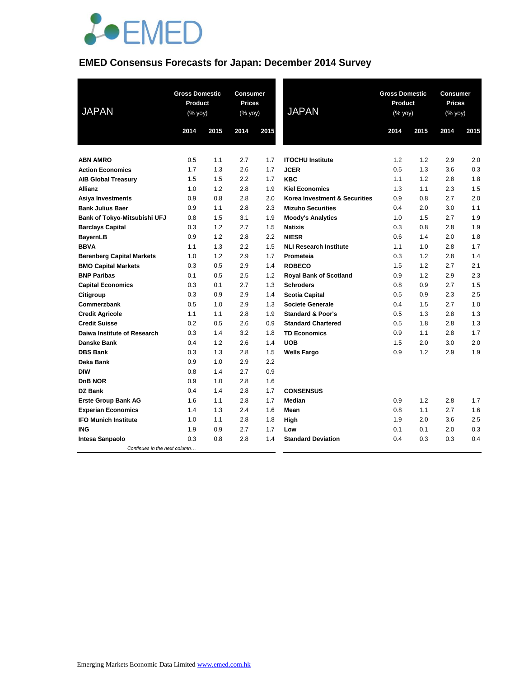

#### **EMED Consensus Forecasts for Japan: December 2014 Survey**

| <b>JAPAN</b>                     | <b>Gross Domestic</b><br>Product<br>(% yoy) |      | <b>Consumer</b><br><b>Prices</b><br>(% yoy) |      | <b>JAPAN</b>                  | <b>Gross Domestic</b><br>Product<br>(% yoy) |      | <b>Consumer</b><br><b>Prices</b><br>(% yoy) |      |
|----------------------------------|---------------------------------------------|------|---------------------------------------------|------|-------------------------------|---------------------------------------------|------|---------------------------------------------|------|
|                                  | 2014                                        | 2015 | 2014                                        | 2015 |                               | 2014                                        | 2015 | 2014                                        | 2015 |
| <b>ABN AMRO</b>                  | 0.5                                         | 1.1  | 2.7                                         | 1.7  | <b>ITOCHU Institute</b>       | 1.2                                         | 1.2  | 2.9                                         | 2.0  |
| <b>Action Economics</b>          | 1.7                                         | 1.3  | 2.6                                         | 1.7  | <b>JCER</b>                   | 0.5                                         | 1.3  | 3.6                                         | 0.3  |
| <b>AIB Global Treasury</b>       | 1.5                                         | 1.5  | 2.2                                         | 1.7  | <b>KBC</b>                    | 1.1                                         | 1.2  | 2.8                                         | 1.8  |
| Allianz                          | 1.0                                         | 1.2  | 2.8                                         | 1.9  | <b>Kiel Economics</b>         | 1.3                                         | 1.1  | 2.3                                         | 1.5  |
| <b>Asiya Investments</b>         | 0.9                                         | 0.8  | 2.8                                         | 2.0  | Korea Investment & Securities | 0.9                                         | 0.8  | 2.7                                         | 2.0  |
| <b>Bank Julius Baer</b>          | 0.9                                         | 1.1  | 2.8                                         | 2.3  | <b>Mizuho Securities</b>      | 0.4                                         | 2.0  | 3.0                                         | 1.1  |
| Bank of Tokyo-Mitsubishi UFJ     | 0.8                                         | 1.5  | 3.1                                         | 1.9  | <b>Moody's Analytics</b>      | 1.0                                         | 1.5  | 2.7                                         | 1.9  |
| <b>Barclays Capital</b>          | 0.3                                         | 1.2  | 2.7                                         | 1.5  | <b>Natixis</b>                | 0.3                                         | 0.8  | 2.8                                         | 1.9  |
| <b>BayernLB</b>                  | 0.9                                         | 1.2  | 2.8                                         | 2.2  | <b>NIESR</b>                  | 0.6                                         | 1.4  | 2.0                                         | 1.8  |
| <b>BBVA</b>                      | 1.1                                         | 1.3  | 2.2                                         | 1.5  | <b>NLI Research Institute</b> | 1.1                                         | 1.0  | 2.8                                         | 1.7  |
| <b>Berenberg Capital Markets</b> | 1.0                                         | 1.2  | 2.9                                         | 1.7  | Prometeia                     | 0.3                                         | 1.2  | 2.8                                         | 1.4  |
| <b>BMO Capital Markets</b>       | 0.3                                         | 0.5  | 2.9                                         | 1.4  | <b>ROBECO</b>                 | 1.5                                         | 1.2  | 2.7                                         | 2.1  |
| <b>BNP Paribas</b>               | 0.1                                         | 0.5  | 2.5                                         | 1.2  | <b>Royal Bank of Scotland</b> | 0.9                                         | 1.2  | 2.9                                         | 2.3  |
| <b>Capital Economics</b>         | 0.3                                         | 0.1  | 2.7                                         | 1.3  | <b>Schroders</b>              | 0.8                                         | 0.9  | 2.7                                         | 1.5  |
| Citigroup                        | 0.3                                         | 0.9  | 2.9                                         | 1.4  | <b>Scotia Capital</b>         | 0.5                                         | 0.9  | 2.3                                         | 2.5  |
| Commerzbank                      | 0.5                                         | 1.0  | 2.9                                         | 1.3  | <b>Societe Generale</b>       | 0.4                                         | 1.5  | 2.7                                         | 1.0  |
| <b>Credit Agricole</b>           | 1.1                                         | 1.1  | 2.8                                         | 1.9  | <b>Standard &amp; Poor's</b>  | 0.5                                         | 1.3  | 2.8                                         | 1.3  |
| <b>Credit Suisse</b>             | 0.2                                         | 0.5  | 2.6                                         | 0.9  | <b>Standard Chartered</b>     | 0.5                                         | 1.8  | 2.8                                         | 1.3  |
| Daiwa Institute of Research      | 0.3                                         | 1.4  | 3.2                                         | 1.8  | <b>TD Economics</b>           | 0.9                                         | 1.1  | 2.8                                         | 1.7  |
| <b>Danske Bank</b>               | 0.4                                         | 1.2  | 2.6                                         | 1.4  | <b>UOB</b>                    | 1.5                                         | 2.0  | 3.0                                         | 2.0  |
| <b>DBS Bank</b>                  | 0.3                                         | 1.3  | 2.8                                         | 1.5  | <b>Wells Fargo</b>            | 0.9                                         | 1.2  | 2.9                                         | 1.9  |
| Deka Bank                        | 0.9                                         | 1.0  | 2.9                                         | 2.2  |                               |                                             |      |                                             |      |
| <b>DIW</b>                       | 0.8                                         | 1.4  | 2.7                                         | 0.9  |                               |                                             |      |                                             |      |
| DnB NOR                          | 0.9                                         | 1.0  | 2.8                                         | 1.6  |                               |                                             |      |                                             |      |
| DZ Bank                          | 0.4                                         | 1.4  | 2.8                                         | 1.7  | <b>CONSENSUS</b>              |                                             |      |                                             |      |
| <b>Erste Group Bank AG</b>       | 1.6                                         | 1.1  | 2.8                                         | 1.7  | Median                        | 0.9                                         | 1.2  | 2.8                                         | 1.7  |
| <b>Experian Economics</b>        | 1.4                                         | 1.3  | 2.4                                         | 1.6  | Mean                          | 0.8                                         | 1.1  | 2.7                                         | 1.6  |
| <b>IFO Munich Institute</b>      | 1.0                                         | 1.1  | 2.8                                         | 1.8  | High                          | 1.9                                         | 2.0  | 3.6                                         | 2.5  |
| <b>ING</b>                       | 1.9                                         | 0.9  | 2.7                                         | 1.7  | Low                           | 0.1                                         | 0.1  | 2.0                                         | 0.3  |
| Intesa Sanpaolo                  | 0.3                                         | 0.8  | 2.8                                         | 1.4  | <b>Standard Deviation</b>     | 0.4                                         | 0.3  | 0.3                                         | 0.4  |
| Continues in the next column     |                                             |      |                                             |      |                               |                                             |      |                                             |      |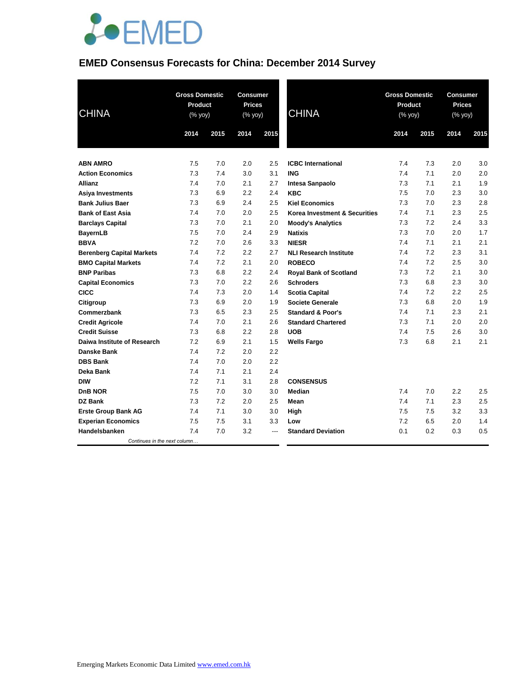

## **EMED Consensus Forecasts for China: December 2014 Survey**

| <b>CHINA</b>                     |      | <b>Gross Domestic</b><br>Product<br>(% yoy) |      | <b>Consumer</b><br><b>Prices</b><br>(% yoy) | <b>CHINA</b>                  | <b>Gross Domestic</b><br>Product<br>(% yoy) |      | <b>Consumer</b><br><b>Prices</b><br>$(% \mathsf{Y}^{\prime }\mathsf{Y}^{\prime }\mathsf{Y}^{\prime })$ |      |
|----------------------------------|------|---------------------------------------------|------|---------------------------------------------|-------------------------------|---------------------------------------------|------|--------------------------------------------------------------------------------------------------------|------|
|                                  | 2014 | 2015                                        | 2014 | 2015                                        |                               | 2014                                        | 2015 | 2014                                                                                                   | 2015 |
| <b>ABN AMRO</b>                  | 7.5  | 7.0                                         | 2.0  | 2.5                                         | <b>ICBC</b> International     | 7.4                                         | 7.3  | 2.0                                                                                                    | 3.0  |
| <b>Action Economics</b>          | 7.3  | 7.4                                         | 3.0  | 3.1                                         | <b>ING</b>                    | 7.4                                         | 7.1  | 2.0                                                                                                    | 2.0  |
| <b>Allianz</b>                   | 7.4  | 7.0                                         | 2.1  | 2.7                                         | <b>Intesa Sanpaolo</b>        | 7.3                                         | 7.1  | 2.1                                                                                                    | 1.9  |
| <b>Asiya Investments</b>         | 7.3  | 6.9                                         | 2.2  | 2.4                                         | <b>KBC</b>                    | 7.5                                         | 7.0  | 2.3                                                                                                    | 3.0  |
| <b>Bank Julius Baer</b>          | 7.3  | 6.9                                         | 2.4  | 2.5                                         | <b>Kiel Economics</b>         | 7.3                                         | 7.0  | 2.3                                                                                                    | 2.8  |
| <b>Bank of East Asia</b>         | 7.4  | 7.0                                         | 2.0  | 2.5                                         | Korea Investment & Securities | 7.4                                         | 7.1  | 2.3                                                                                                    | 2.5  |
| <b>Barclays Capital</b>          | 7.3  | 7.0                                         | 2.1  | 2.0                                         | <b>Moody's Analytics</b>      | 7.3                                         | 7.2  | 2.4                                                                                                    | 3.3  |
| <b>BayernLB</b>                  | 7.5  | 7.0                                         | 2.4  | 2.9                                         | <b>Natixis</b>                | 7.3                                         | 7.0  | 2.0                                                                                                    | 1.7  |
| <b>BBVA</b>                      | 7.2  | 7.0                                         | 2.6  | 3.3                                         | <b>NIESR</b>                  | 7.4                                         | 7.1  | 2.1                                                                                                    | 2.1  |
| <b>Berenberg Capital Markets</b> | 7.4  | 7.2                                         | 2.2  | 2.7                                         | <b>NLI Research Institute</b> | 7.4                                         | 7.2  | 2.3                                                                                                    | 3.1  |
| <b>BMO Capital Markets</b>       | 7.4  | 7.2                                         | 2.1  | 2.0                                         | <b>ROBECO</b>                 | 7.4                                         | 7.2  | 2.5                                                                                                    | 3.0  |
| <b>BNP Paribas</b>               | 7.3  | 6.8                                         | 2.2  | 2.4                                         | <b>Royal Bank of Scotland</b> | 7.3                                         | 7.2  | 2.1                                                                                                    | 3.0  |
| <b>Capital Economics</b>         | 7.3  | 7.0                                         | 2.2  | 2.6                                         | <b>Schroders</b>              | 7.3                                         | 6.8  | 2.3                                                                                                    | 3.0  |
| <b>CICC</b>                      | 7.4  | 7.3                                         | 2.0  | 1.4                                         | <b>Scotia Capital</b>         | 7.4                                         | 7.2  | 2.2                                                                                                    | 2.5  |
| Citigroup                        | 7.3  | 6.9                                         | 2.0  | 1.9                                         | <b>Societe Generale</b>       | 7.3                                         | 6.8  | 2.0                                                                                                    | 1.9  |
| Commerzbank                      | 7.3  | 6.5                                         | 2.3  | 2.5                                         | <b>Standard &amp; Poor's</b>  | 7.4                                         | 7.1  | 2.3                                                                                                    | 2.1  |
| <b>Credit Agricole</b>           | 7.4  | 7.0                                         | 2.1  | 2.6                                         | <b>Standard Chartered</b>     | 7.3                                         | 7.1  | 2.0                                                                                                    | 2.0  |
| <b>Credit Suisse</b>             | 7.3  | 6.8                                         | 2.2  | 2.8                                         | <b>UOB</b>                    | 7.4                                         | 7.5  | 2.6                                                                                                    | 3.0  |
| Daiwa Institute of Research      | 7.2  | 6.9                                         | 2.1  | 1.5                                         | <b>Wells Fargo</b>            | 7.3                                         | 6.8  | 2.1                                                                                                    | 2.1  |
| <b>Danske Bank</b>               | 7.4  | 7.2                                         | 2.0  | 2.2                                         |                               |                                             |      |                                                                                                        |      |
| <b>DBS Bank</b>                  | 7.4  | 7.0                                         | 2.0  | 2.2                                         |                               |                                             |      |                                                                                                        |      |
| Deka Bank                        | 7.4  | 7.1                                         | 2.1  | 2.4                                         |                               |                                             |      |                                                                                                        |      |
| <b>DIW</b>                       | 7.2  | 7.1                                         | 3.1  | 2.8                                         | <b>CONSENSUS</b>              |                                             |      |                                                                                                        |      |
| DnB NOR                          | 7.5  | 7.0                                         | 3.0  | 3.0                                         | Median                        | 7.4                                         | 7.0  | $2.2\phantom{0}$                                                                                       | 2.5  |
| DZ Bank                          | 7.3  | 7.2                                         | 2.0  | 2.5                                         | Mean                          | 7.4                                         | 7.1  | 2.3                                                                                                    | 2.5  |
| <b>Erste Group Bank AG</b>       | 7.4  | 7.1                                         | 3.0  | 3.0                                         | High                          | 7.5                                         | 7.5  | 3.2                                                                                                    | 3.3  |
| <b>Experian Economics</b>        | 7.5  | 7.5                                         | 3.1  | 3.3                                         | Low                           | 7.2                                         | 6.5  | 2.0                                                                                                    | 1.4  |
| Handelsbanken                    | 7.4  | 7.0                                         | 3.2  | ---                                         | <b>Standard Deviation</b>     | 0.1                                         | 0.2  | 0.3                                                                                                    | 0.5  |
| Continues in the next column     |      |                                             |      |                                             |                               |                                             |      |                                                                                                        |      |